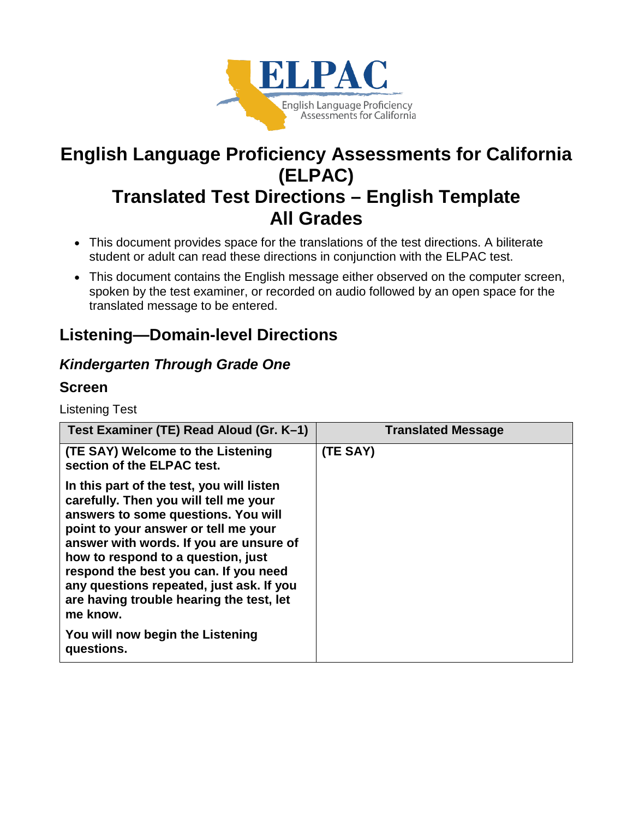

# **English Language Proficiency Assessments for California (ELPAC) Translated Test Directions – English Template All Grades**

- This document provides space for the translations of the test directions. A biliterate student or adult can read these directions in conjunction with the ELPAC test.
- This document contains the English message either observed on the computer screen, spoken by the test examiner, or recorded on audio followed by an open space for the translated message to be entered.

## **Listening—Domain-level Directions**

### *Kindergarten Through Grade One*

### **Screen**

Listening Test

| Test Examiner (TE) Read Aloud (Gr. K–1)                                                                                                                                                                                                                                                                                                                                                         | <b>Translated Message</b> |
|-------------------------------------------------------------------------------------------------------------------------------------------------------------------------------------------------------------------------------------------------------------------------------------------------------------------------------------------------------------------------------------------------|---------------------------|
| (TE SAY) Welcome to the Listening<br>section of the ELPAC test.                                                                                                                                                                                                                                                                                                                                 | (TE SAY)                  |
| In this part of the test, you will listen<br>carefully. Then you will tell me your<br>answers to some questions. You will<br>point to your answer or tell me your<br>answer with words. If you are unsure of<br>how to respond to a question, just<br>respond the best you can. If you need<br>any questions repeated, just ask. If you<br>are having trouble hearing the test, let<br>me know. |                           |
| You will now begin the Listening<br>questions.                                                                                                                                                                                                                                                                                                                                                  |                           |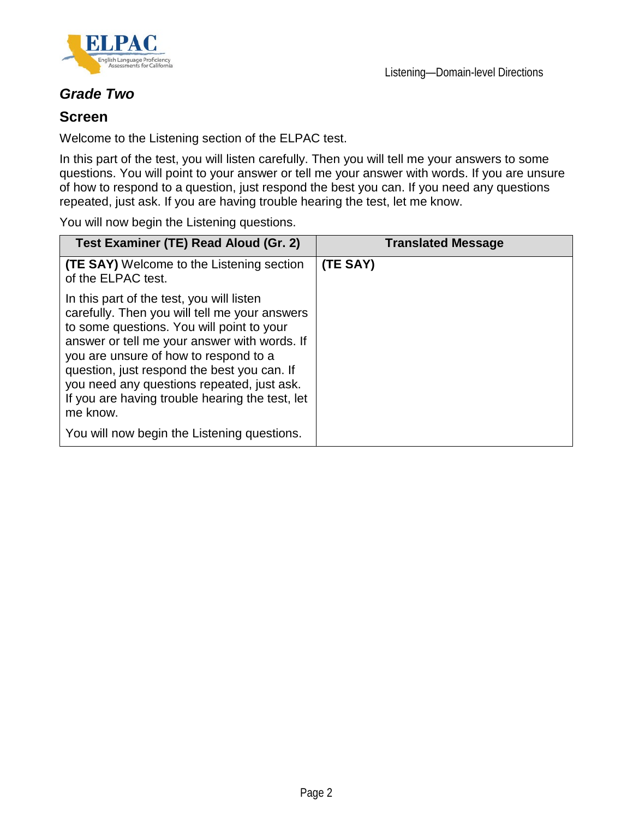



### *Grade Two*

#### **Screen**

Welcome to the Listening section of the ELPAC test.

In this part of the test, you will listen carefully. Then you will tell me your answers to some questions. You will point to your answer or tell me your answer with words. If you are unsure of how to respond to a question, just respond the best you can. If you need any questions repeated, just ask. If you are having trouble hearing the test, let me know.

You will now begin the Listening questions.

| Test Examiner (TE) Read Aloud (Gr. 2)                                                                                                                                                                                                                                                                                                                                                        | <b>Translated Message</b> |
|----------------------------------------------------------------------------------------------------------------------------------------------------------------------------------------------------------------------------------------------------------------------------------------------------------------------------------------------------------------------------------------------|---------------------------|
| <b>(TE SAY)</b> Welcome to the Listening section<br>of the ELPAC test.                                                                                                                                                                                                                                                                                                                       | (TE SAY)                  |
| In this part of the test, you will listen<br>carefully. Then you will tell me your answers<br>to some questions. You will point to your<br>answer or tell me your answer with words. If<br>you are unsure of how to respond to a<br>question, just respond the best you can. If<br>you need any questions repeated, just ask.<br>If you are having trouble hearing the test, let<br>me know. |                           |
| You will now begin the Listening questions.                                                                                                                                                                                                                                                                                                                                                  |                           |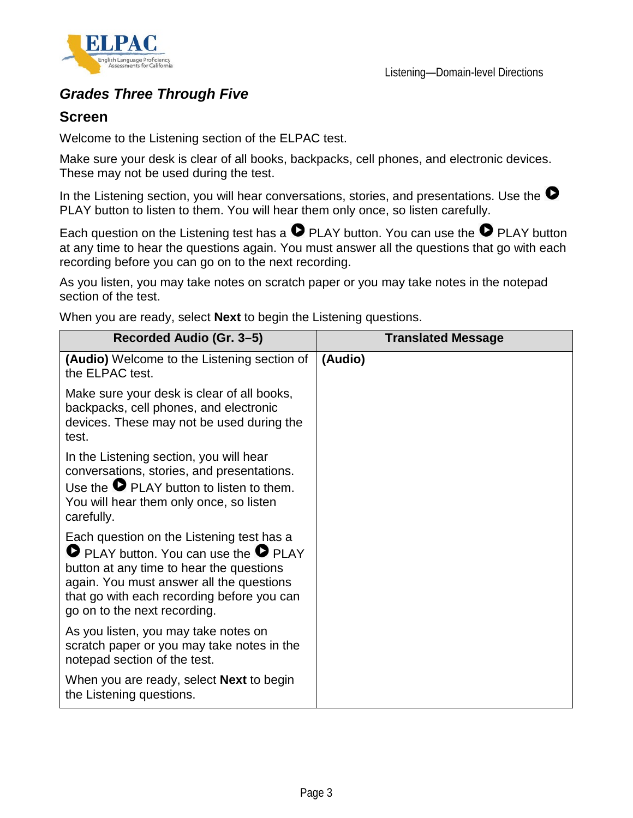

### *Grades Three Through Five*

#### **Screen**

Welcome to the Listening section of the ELPAC test.

Make sure your desk is clear of all books, backpacks, cell phones, and electronic devices. These may not be used during the test.

In the Listening section, you will hear conversations, stories, and presentations. Use the  $\bullet$ PLAY button to listen to them. You will hear them only once, so listen carefully.

Each question on the Listening test has a  $\bullet$  PLAY button. You can use the  $\bullet$  PLAY button at any time to hear the questions again. You must answer all the questions that go with each recording before you can go on to the next recording.

As you listen, you may take notes on scratch paper or you may take notes in the notepad section of the test.

When you are ready, select **Next** to begin the Listening questions.

| Recorded Audio (Gr. 3–5)                                                                                                                                                                                                                                               | <b>Translated Message</b> |
|------------------------------------------------------------------------------------------------------------------------------------------------------------------------------------------------------------------------------------------------------------------------|---------------------------|
| (Audio) Welcome to the Listening section of<br>the ELPAC test.                                                                                                                                                                                                         | (Audio)                   |
| Make sure your desk is clear of all books,<br>backpacks, cell phones, and electronic<br>devices. These may not be used during the<br>test.                                                                                                                             |                           |
| In the Listening section, you will hear<br>conversations, stories, and presentations.<br>Use the $\bullet$ PLAY button to listen to them.<br>You will hear them only once, so listen<br>carefully.                                                                     |                           |
| Each question on the Listening test has a<br><b>O</b> PLAY button. You can use the <b>O</b> PLAY<br>button at any time to hear the questions<br>again. You must answer all the questions<br>that go with each recording before you can<br>go on to the next recording. |                           |
| As you listen, you may take notes on<br>scratch paper or you may take notes in the<br>notepad section of the test.                                                                                                                                                     |                           |
| When you are ready, select <b>Next</b> to begin<br>the Listening questions.                                                                                                                                                                                            |                           |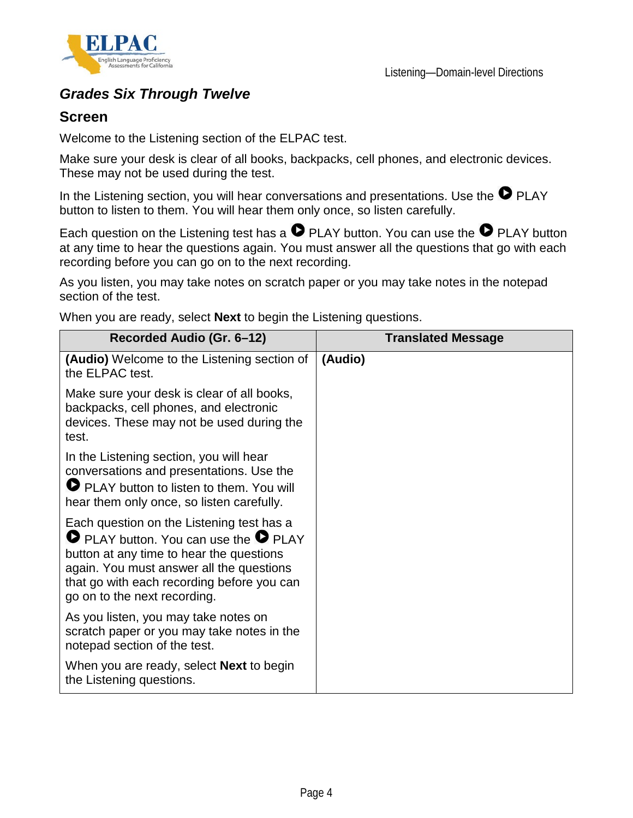

### *Grades Six Through Twelve*

#### **Screen**

Welcome to the Listening section of the ELPAC test.

Make sure your desk is clear of all books, backpacks, cell phones, and electronic devices. These may not be used during the test.

In the Listening section, you will hear conversations and presentations. Use the  $\bullet$  PLAY button to listen to them. You will hear them only once, so listen carefully.

Each question on the Listening test has a  $\bullet$  PLAY button. You can use the  $\bullet$  PLAY button at any time to hear the questions again. You must answer all the questions that go with each recording before you can go on to the next recording.

As you listen, you may take notes on scratch paper or you may take notes in the notepad section of the test.

When you are ready, select **Next** to begin the Listening questions.

| Recorded Audio (Gr. 6-12)                                                                                                                                                                                                                                                | <b>Translated Message</b> |
|--------------------------------------------------------------------------------------------------------------------------------------------------------------------------------------------------------------------------------------------------------------------------|---------------------------|
| <b>(Audio)</b> Welcome to the Listening section of<br>the ELPAC test.                                                                                                                                                                                                    | (Audio)                   |
| Make sure your desk is clear of all books,<br>backpacks, cell phones, and electronic<br>devices. These may not be used during the<br>test.                                                                                                                               |                           |
| In the Listening section, you will hear<br>conversations and presentations. Use the<br>PLAY button to listen to them. You will<br>hear them only once, so listen carefully.                                                                                              |                           |
| Each question on the Listening test has a<br>$\bullet$ PLAY button. You can use the $\bullet$ PLAY<br>button at any time to hear the questions<br>again. You must answer all the questions<br>that go with each recording before you can<br>go on to the next recording. |                           |
| As you listen, you may take notes on<br>scratch paper or you may take notes in the<br>notepad section of the test.                                                                                                                                                       |                           |
| When you are ready, select <b>Next</b> to begin<br>the Listening questions.                                                                                                                                                                                              |                           |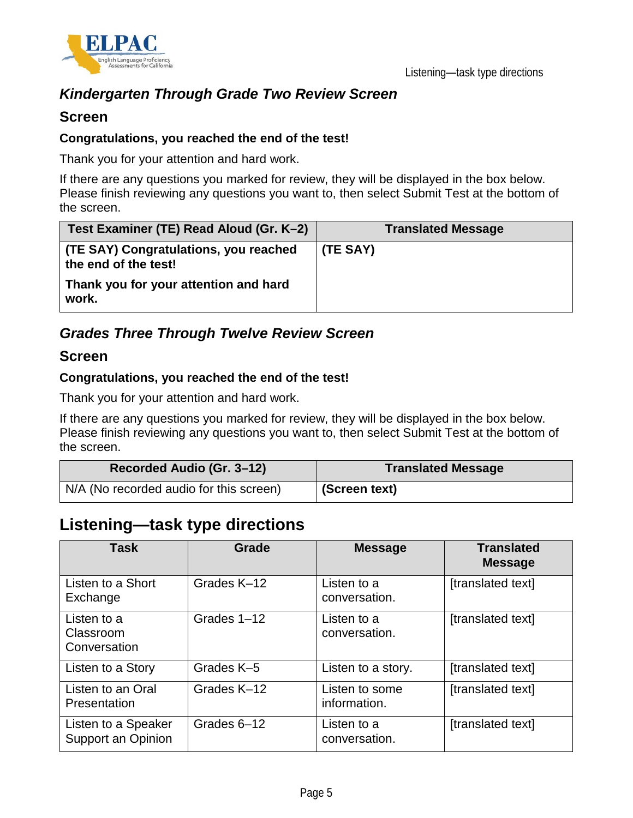

### *Kindergarten Through Grade Two Review Screen*

#### **Screen**

#### **Congratulations, you reached the end of the test!**

Thank you for your attention and hard work.

If there are any questions you marked for review, they will be displayed in the box below. Please finish reviewing any questions you want to, then select Submit Test at the bottom of the screen.

| Test Examiner (TE) Read Aloud (Gr. K-2)                       | <b>Translated Message</b> |
|---------------------------------------------------------------|---------------------------|
| (TE SAY) Congratulations, you reached<br>the end of the test! | (TE SAY)                  |
| Thank you for your attention and hard<br>work.                |                           |

### *Grades Three Through Twelve Review Screen*

#### **Screen**

#### **Congratulations, you reached the end of the test!**

Thank you for your attention and hard work.

If there are any questions you marked for review, they will be displayed in the box below. Please finish reviewing any questions you want to, then select Submit Test at the bottom of the screen.

| Recorded Audio (Gr. 3-12)               | <b>Translated Message</b> |
|-----------------------------------------|---------------------------|
| N/A (No recorded audio for this screen) | (Screen text)             |

## **Listening—task type directions**

| Task                                      | Grade       | <b>Message</b>                 | <b>Translated</b><br><b>Message</b> |
|-------------------------------------------|-------------|--------------------------------|-------------------------------------|
| Listen to a Short<br>Exchange             | Grades K-12 | Listen to a<br>conversation.   | [translated text]                   |
| Listen to a<br>Classroom<br>Conversation  | Grades 1-12 | Listen to a<br>conversation.   | [translated text]                   |
| Listen to a Story                         | Grades K-5  | Listen to a story.             | [translated text]                   |
| Listen to an Oral<br>Presentation         | Grades K-12 | Listen to some<br>information. | [translated text]                   |
| Listen to a Speaker<br>Support an Opinion | Grades 6-12 | Listen to a<br>conversation.   | [translated text]                   |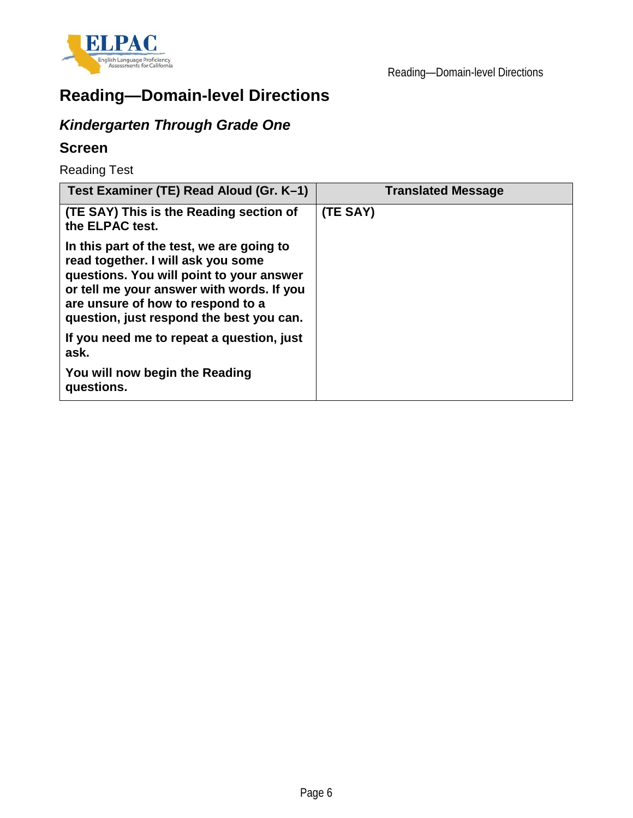

# **Reading—Domain-level Directions**

## *Kindergarten Through Grade One*

### **Screen**

Reading Test

| Test Examiner (TE) Read Aloud (Gr. K-1)                                                                                                                                                                                                                   | <b>Translated Message</b> |
|-----------------------------------------------------------------------------------------------------------------------------------------------------------------------------------------------------------------------------------------------------------|---------------------------|
| (TE SAY) This is the Reading section of<br>the ELPAC test.                                                                                                                                                                                                | (TE SAY)                  |
| In this part of the test, we are going to<br>read together. I will ask you some<br>questions. You will point to your answer<br>or tell me your answer with words. If you<br>are unsure of how to respond to a<br>question, just respond the best you can. |                           |
| If you need me to repeat a question, just<br>ask.                                                                                                                                                                                                         |                           |
| You will now begin the Reading<br>questions.                                                                                                                                                                                                              |                           |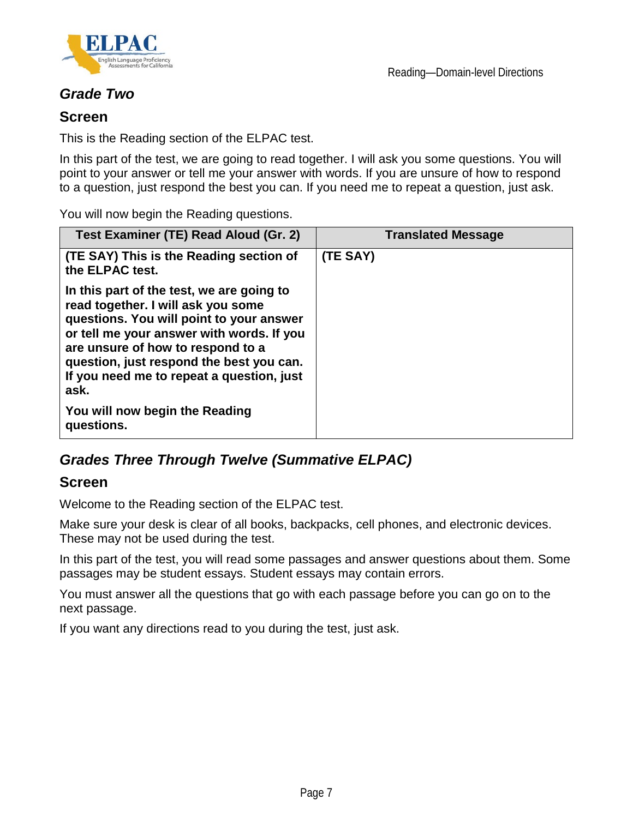

### *Grade Two*

#### **Screen**

This is the Reading section of the ELPAC test.

In this part of the test, we are going to read together. I will ask you some questions. You will point to your answer or tell me your answer with words. If you are unsure of how to respond to a question, just respond the best you can. If you need me to repeat a question, just ask.

You will now begin the Reading questions.

| Test Examiner (TE) Read Aloud (Gr. 2)                                                                                                                                                                                                                                                                          | <b>Translated Message</b> |
|----------------------------------------------------------------------------------------------------------------------------------------------------------------------------------------------------------------------------------------------------------------------------------------------------------------|---------------------------|
| (TE SAY) This is the Reading section of<br>the ELPAC test.                                                                                                                                                                                                                                                     | (TE SAY)                  |
| In this part of the test, we are going to<br>read together. I will ask you some<br>questions. You will point to your answer<br>or tell me your answer with words. If you<br>are unsure of how to respond to a<br>question, just respond the best you can.<br>If you need me to repeat a question, just<br>ask. |                           |
| You will now begin the Reading<br>questions.                                                                                                                                                                                                                                                                   |                           |

### *Grades Three Through Twelve (Summative ELPAC)*

#### **Screen**

Welcome to the Reading section of the ELPAC test.

Make sure your desk is clear of all books, backpacks, cell phones, and electronic devices. These may not be used during the test.

In this part of the test, you will read some passages and answer questions about them. Some passages may be student essays. Student essays may contain errors.

You must answer all the questions that go with each passage before you can go on to the next passage.

If you want any directions read to you during the test, just ask.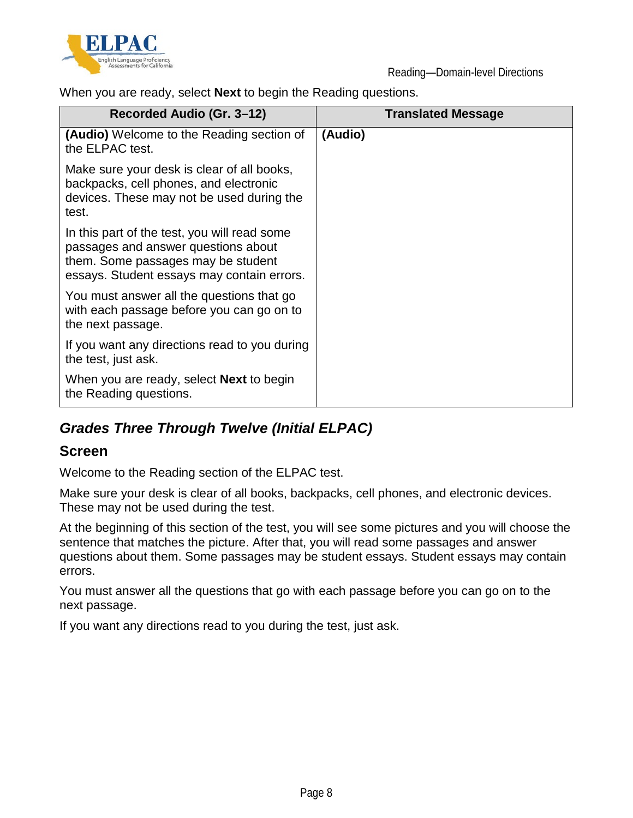

When you are ready, select **Next** to begin the Reading questions.

| Recorded Audio (Gr. 3–12)                                                                                                                                               | <b>Translated Message</b> |
|-------------------------------------------------------------------------------------------------------------------------------------------------------------------------|---------------------------|
| (Audio) Welcome to the Reading section of<br>the ELPAC test.                                                                                                            | (Audio)                   |
| Make sure your desk is clear of all books,<br>backpacks, cell phones, and electronic<br>devices. These may not be used during the<br>test.                              |                           |
| In this part of the test, you will read some<br>passages and answer questions about<br>them. Some passages may be student<br>essays. Student essays may contain errors. |                           |
| You must answer all the questions that go<br>with each passage before you can go on to<br>the next passage.                                                             |                           |
| If you want any directions read to you during<br>the test, just ask.                                                                                                    |                           |
| When you are ready, select <b>Next</b> to begin<br>the Reading questions.                                                                                               |                           |

### *Grades Three Through Twelve (Initial ELPAC)*

### **Screen**

Welcome to the Reading section of the ELPAC test.

Make sure your desk is clear of all books, backpacks, cell phones, and electronic devices. These may not be used during the test.

At the beginning of this section of the test, you will see some pictures and you will choose the sentence that matches the picture. After that, you will read some passages and answer questions about them. Some passages may be student essays. Student essays may contain errors.

You must answer all the questions that go with each passage before you can go on to the next passage.

If you want any directions read to you during the test, just ask.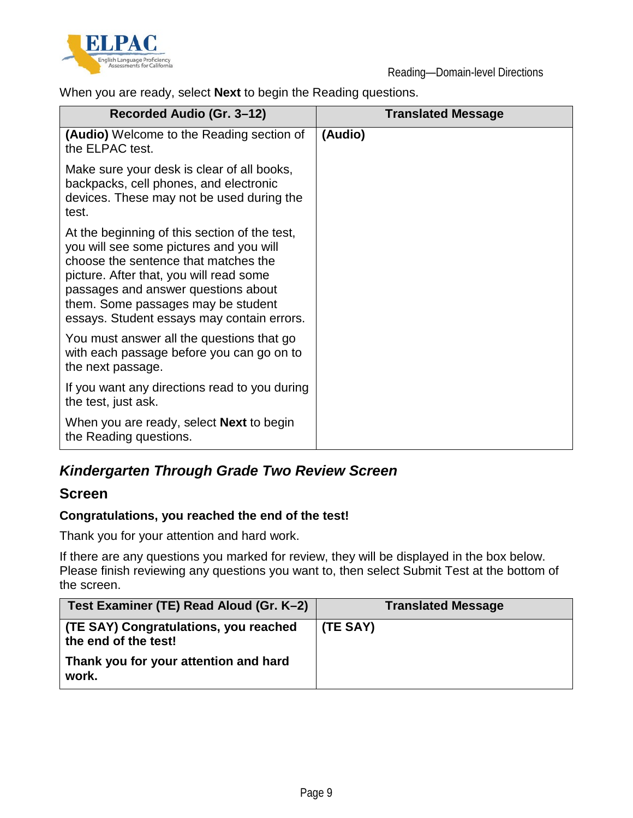

When you are ready, select **Next** to begin the Reading questions.

| Recorded Audio (Gr. 3–12)                                                                                                                                                                                                                                                                              | <b>Translated Message</b> |
|--------------------------------------------------------------------------------------------------------------------------------------------------------------------------------------------------------------------------------------------------------------------------------------------------------|---------------------------|
| <b>(Audio)</b> Welcome to the Reading section of<br>the ELPAC test.                                                                                                                                                                                                                                    | (Audio)                   |
| Make sure your desk is clear of all books,<br>backpacks, cell phones, and electronic<br>devices. These may not be used during the<br>test.                                                                                                                                                             |                           |
| At the beginning of this section of the test,<br>you will see some pictures and you will<br>choose the sentence that matches the<br>picture. After that, you will read some<br>passages and answer questions about<br>them. Some passages may be student<br>essays. Student essays may contain errors. |                           |
| You must answer all the questions that go<br>with each passage before you can go on to<br>the next passage.                                                                                                                                                                                            |                           |
| If you want any directions read to you during<br>the test, just ask.                                                                                                                                                                                                                                   |                           |
| When you are ready, select <b>Next</b> to begin<br>the Reading questions.                                                                                                                                                                                                                              |                           |

### *Kindergarten Through Grade Two Review Screen*

#### **Screen**

#### **Congratulations, you reached the end of the test!**

Thank you for your attention and hard work.

If there are any questions you marked for review, they will be displayed in the box below. Please finish reviewing any questions you want to, then select Submit Test at the bottom of the screen.

| Test Examiner (TE) Read Aloud (Gr. K-2)                       | <b>Translated Message</b> |
|---------------------------------------------------------------|---------------------------|
| (TE SAY) Congratulations, you reached<br>the end of the test! | (TE SAY)                  |
| Thank you for your attention and hard<br>work.                |                           |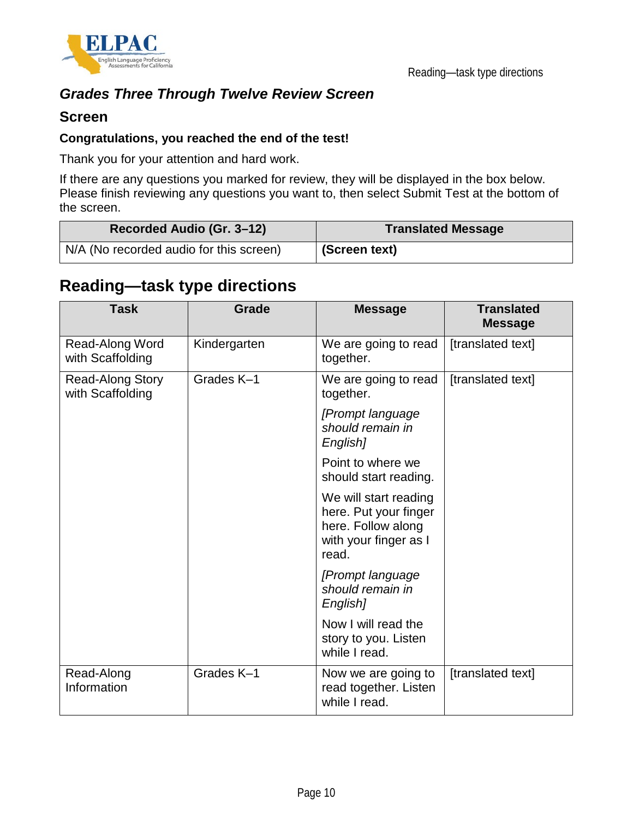

### *Grades Three Through Twelve Review Screen*

#### **Screen**

#### **Congratulations, you reached the end of the test!**

Thank you for your attention and hard work.

If there are any questions you marked for review, they will be displayed in the box below. Please finish reviewing any questions you want to, then select Submit Test at the bottom of the screen.

| Recorded Audio (Gr. 3–12)               | <b>Translated Message</b> |  |
|-----------------------------------------|---------------------------|--|
| N/A (No recorded audio for this screen) | (Screen text)             |  |

## **Reading—task type directions**

| <b>Task</b>                          | Grade        | <b>Message</b>                                                                                         | <b>Translated</b><br><b>Message</b> |
|--------------------------------------|--------------|--------------------------------------------------------------------------------------------------------|-------------------------------------|
| Read-Along Word<br>with Scaffolding  | Kindergarten | We are going to read<br>together.                                                                      | [translated text]                   |
| Read-Along Story<br>with Scaffolding | Grades K-1   | We are going to read<br>together.                                                                      | [translated text]                   |
|                                      |              | [Prompt language]<br>should remain in<br>English]                                                      |                                     |
|                                      |              | Point to where we<br>should start reading.                                                             |                                     |
|                                      |              | We will start reading<br>here. Put your finger<br>here. Follow along<br>with your finger as I<br>read. |                                     |
|                                      |              | [Prompt language]<br>should remain in<br>English]                                                      |                                     |
|                                      |              | Now I will read the<br>story to you. Listen<br>while I read.                                           |                                     |
| Read-Along<br>Information            | Grades K-1   | Now we are going to<br>read together. Listen<br>while I read.                                          | [translated text]                   |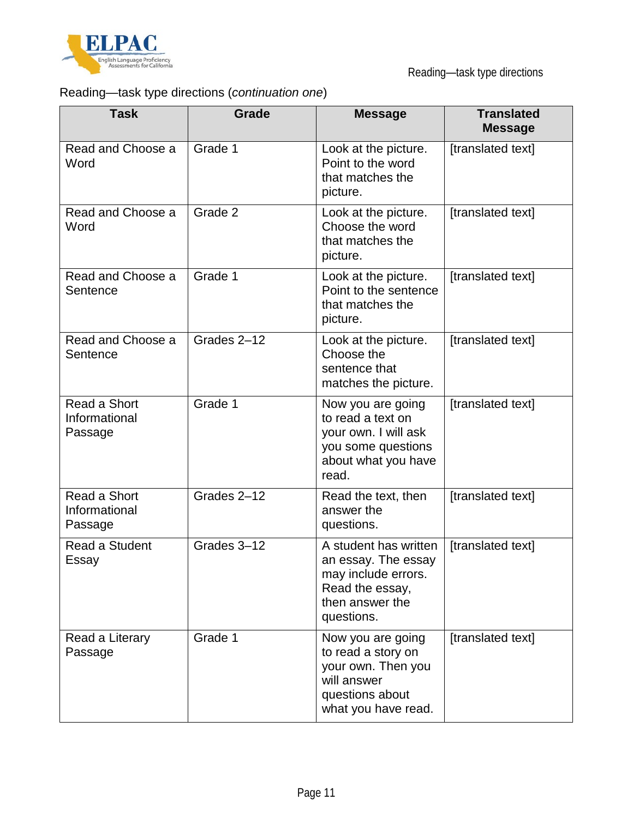

## Reading—task type directions (*continuation one*)

| <b>Task</b>                              | Grade       | <b>Message</b>                                                                                                          | <b>Translated</b><br><b>Message</b> |
|------------------------------------------|-------------|-------------------------------------------------------------------------------------------------------------------------|-------------------------------------|
| Read and Choose a<br>Word                | Grade 1     | Look at the picture.<br>Point to the word<br>that matches the<br>picture.                                               | [translated text]                   |
| Read and Choose a<br>Word                | Grade 2     | Look at the picture.<br>Choose the word<br>that matches the<br>picture.                                                 | [translated text]                   |
| Read and Choose a<br>Sentence            | Grade 1     | Look at the picture.<br>Point to the sentence<br>that matches the<br>picture.                                           | [translated text]                   |
| Read and Choose a<br>Sentence            | Grades 2-12 | Look at the picture.<br>Choose the<br>sentence that<br>matches the picture.                                             | [translated text]                   |
| Read a Short<br>Informational<br>Passage | Grade 1     | Now you are going<br>to read a text on<br>your own. I will ask<br>you some questions<br>about what you have<br>read.    | [translated text]                   |
| Read a Short<br>Informational<br>Passage | Grades 2-12 | Read the text, then<br>answer the<br>questions.                                                                         | [translated text]                   |
| Read a Student<br>Essay                  | Grades 3-12 | A student has written<br>an essay. The essay<br>may include errors.<br>Read the essay,<br>then answer the<br>questions. | [translated text]                   |
| Read a Literary<br>Passage               | Grade 1     | Now you are going<br>to read a story on<br>your own. Then you<br>will answer<br>questions about<br>what you have read.  | [translated text]                   |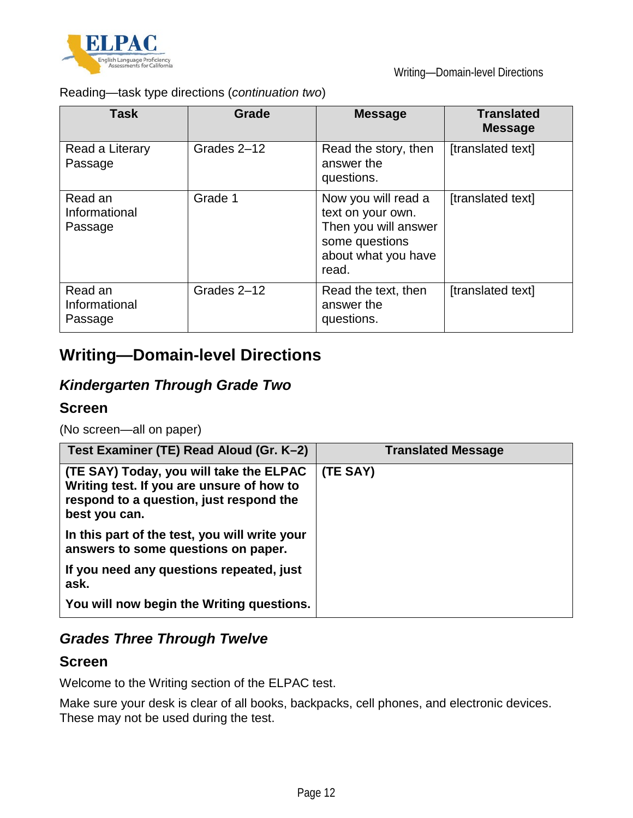

Reading—task type directions (*continuation two*)

| Task                                | Grade       | <b>Message</b>                                                                                                     | <b>Translated</b><br><b>Message</b> |
|-------------------------------------|-------------|--------------------------------------------------------------------------------------------------------------------|-------------------------------------|
| Read a Literary<br>Passage          | Grades 2-12 | Read the story, then<br>answer the<br>questions.                                                                   | [translated text]                   |
| Read an<br>Informational<br>Passage | Grade 1     | Now you will read a<br>text on your own.<br>Then you will answer<br>some questions<br>about what you have<br>read. | [translated text]                   |
| Read an<br>Informational<br>Passage | Grades 2-12 | Read the text, then<br>answer the<br>questions.                                                                    | [translated text]                   |

## **Writing—Domain-level Directions**

## *Kindergarten Through Grade Two*

#### **Screen**

(No screen—all on paper)

| Test Examiner (TE) Read Aloud (Gr. K-2)                                                                                                          | <b>Translated Message</b> |
|--------------------------------------------------------------------------------------------------------------------------------------------------|---------------------------|
| (TE SAY) Today, you will take the ELPAC<br>Writing test. If you are unsure of how to<br>respond to a question, just respond the<br>best you can. | (TE SAY)                  |
| In this part of the test, you will write your<br>answers to some questions on paper.                                                             |                           |
| If you need any questions repeated, just<br>ask.                                                                                                 |                           |
| You will now begin the Writing questions.                                                                                                        |                           |

## *Grades Three Through Twelve*

#### **Screen**

Welcome to the Writing section of the ELPAC test.

Make sure your desk is clear of all books, backpacks, cell phones, and electronic devices. These may not be used during the test.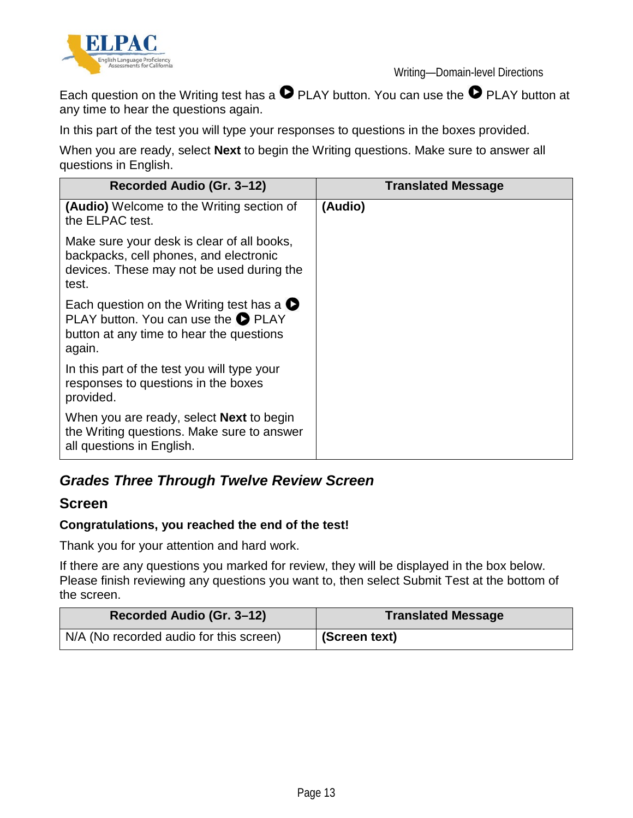

Writing—Domain-level Directions

Each question on the Writing test has a  $\bullet$  PLAY button. You can use the  $\bullet$  PLAY button at any time to hear the questions again.

In this part of the test you will type your responses to questions in the boxes provided.

When you are ready, select **Next** to begin the Writing questions. Make sure to answer all questions in English.

| Recorded Audio (Gr. 3–12)                                                                                                                             | <b>Translated Message</b> |
|-------------------------------------------------------------------------------------------------------------------------------------------------------|---------------------------|
| <b>(Audio)</b> Welcome to the Writing section of<br>the ELPAC test.                                                                                   | (Audio)                   |
| Make sure your desk is clear of all books,<br>backpacks, cell phones, and electronic<br>devices. These may not be used during the<br>test.            |                           |
| Each question on the Writing test has a $\bullet$<br>PLAY button. You can use the <b>O</b> PLAY<br>button at any time to hear the questions<br>again. |                           |
| In this part of the test you will type your<br>responses to questions in the boxes<br>provided.                                                       |                           |
| When you are ready, select <b>Next</b> to begin<br>the Writing questions. Make sure to answer<br>all questions in English.                            |                           |

## *Grades Three Through Twelve Review Screen*

#### **Screen**

#### **Congratulations, you reached the end of the test!**

Thank you for your attention and hard work.

If there are any questions you marked for review, they will be displayed in the box below. Please finish reviewing any questions you want to, then select Submit Test at the bottom of the screen.

| Recorded Audio (Gr. 3-12)               | <b>Translated Message</b> |  |
|-----------------------------------------|---------------------------|--|
| N/A (No recorded audio for this screen) | (Screen text)             |  |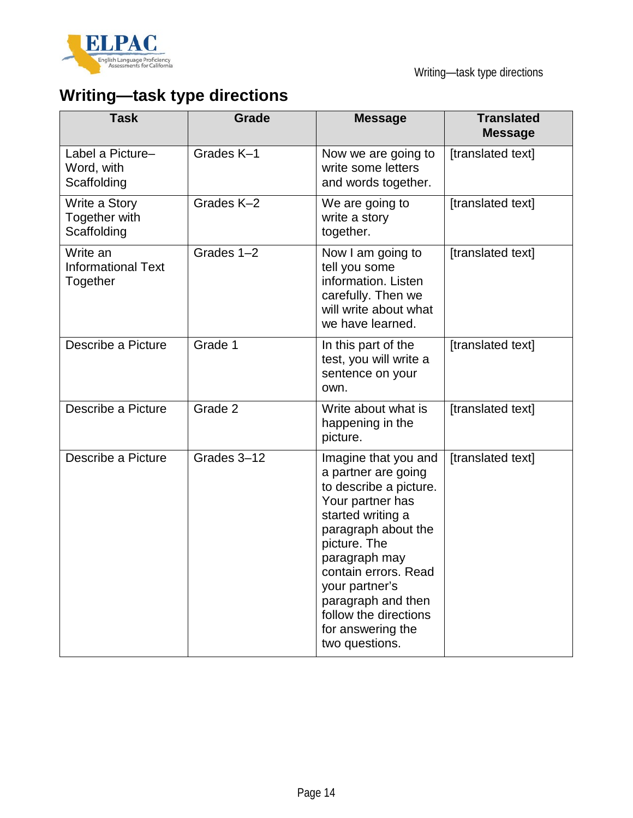

# **Writing—task type directions**

| <b>Task</b>                                       | Grade       | <b>Message</b>                                                                                                                                                                                                                                                                                         | <b>Translated</b><br><b>Message</b> |
|---------------------------------------------------|-------------|--------------------------------------------------------------------------------------------------------------------------------------------------------------------------------------------------------------------------------------------------------------------------------------------------------|-------------------------------------|
| Label a Picture-<br>Word, with<br>Scaffolding     | Grades K-1  | Now we are going to<br>write some letters<br>and words together.                                                                                                                                                                                                                                       | [translated text]                   |
| Write a Story<br>Together with<br>Scaffolding     | Grades K-2  | We are going to<br>write a story<br>together.                                                                                                                                                                                                                                                          | [translated text]                   |
| Write an<br><b>Informational Text</b><br>Together | Grades 1-2  | Now I am going to<br>tell you some<br>information. Listen<br>carefully. Then we<br>will write about what<br>we have learned.                                                                                                                                                                           | [translated text]                   |
| Describe a Picture                                | Grade 1     | In this part of the<br>test, you will write a<br>sentence on your<br>own.                                                                                                                                                                                                                              | [translated text]                   |
| Describe a Picture                                | Grade 2     | Write about what is<br>happening in the<br>picture.                                                                                                                                                                                                                                                    | [translated text]                   |
| Describe a Picture                                | Grades 3-12 | Imagine that you and<br>a partner are going<br>to describe a picture.<br>Your partner has<br>started writing a<br>paragraph about the<br>picture. The<br>paragraph may<br>contain errors. Read<br>your partner's<br>paragraph and then<br>follow the directions<br>for answering the<br>two questions. | [translated text]                   |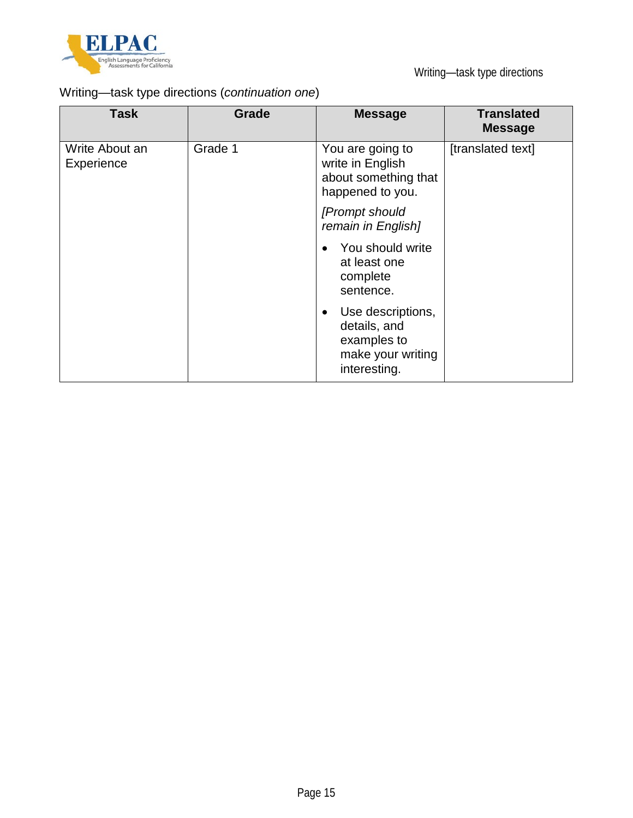

## Writing—task type directions (*continuation one*)

| <b>Task</b>                  | <b>Grade</b> | <b>Message</b>                                                                                     | <b>Translated</b><br><b>Message</b> |
|------------------------------|--------------|----------------------------------------------------------------------------------------------------|-------------------------------------|
| Write About an<br>Experience | Grade 1      | You are going to<br>write in English<br>about something that<br>happened to you.                   | [translated text]                   |
|                              |              | [Prompt should<br>remain in English]                                                               |                                     |
|                              |              | You should write<br>at least one<br>complete<br>sentence.                                          |                                     |
|                              |              | Use descriptions,<br>$\bullet$<br>details, and<br>examples to<br>make your writing<br>interesting. |                                     |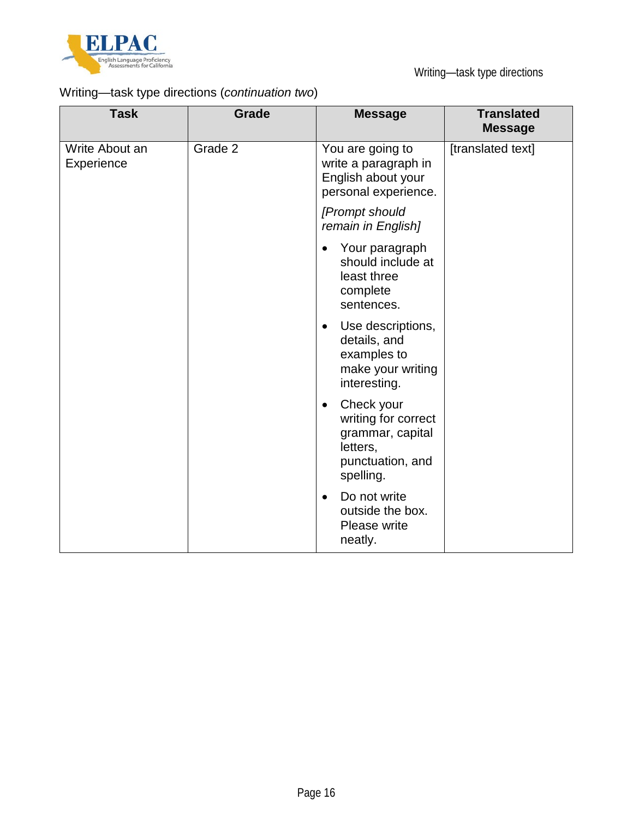

## Writing—task type directions (*continuation two*)

| <b>Task</b>                  | <b>Grade</b> | <b>Message</b>                                                                                                  | <b>Translated</b><br><b>Message</b> |
|------------------------------|--------------|-----------------------------------------------------------------------------------------------------------------|-------------------------------------|
| Write About an<br>Experience | Grade 2      | You are going to<br>write a paragraph in<br>English about your<br>personal experience.                          | [translated text]                   |
|                              |              | [Prompt should<br>remain in English]                                                                            |                                     |
|                              |              | Your paragraph<br>$\bullet$<br>should include at<br>least three<br>complete<br>sentences.                       |                                     |
|                              |              | Use descriptions,<br>$\bullet$<br>details, and<br>examples to<br>make your writing<br>interesting.              |                                     |
|                              |              | Check your<br>$\bullet$<br>writing for correct<br>grammar, capital<br>letters,<br>punctuation, and<br>spelling. |                                     |
|                              |              | Do not write<br>$\bullet$<br>outside the box.<br>Please write<br>neatly.                                        |                                     |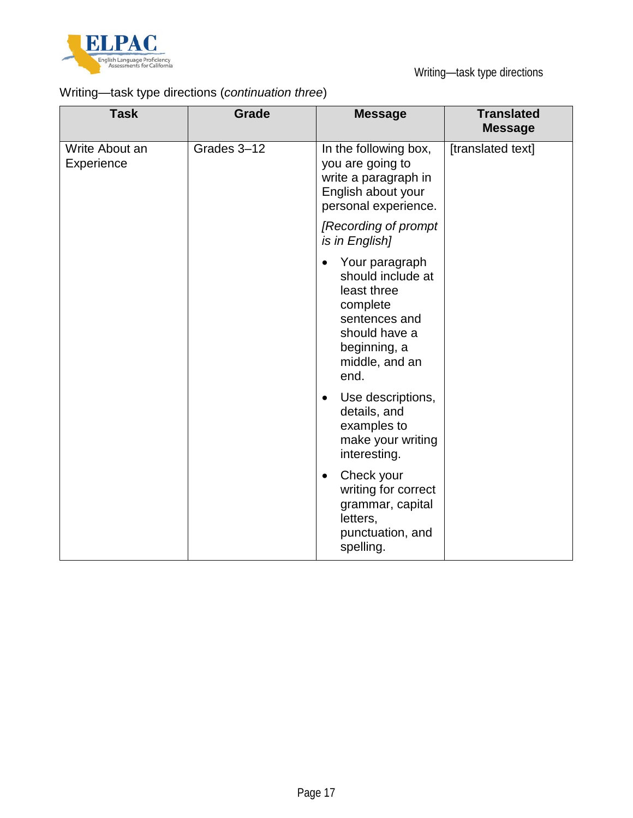

## Writing—task type directions (*continuation three*)

| <b>Task</b>                  | <b>Grade</b> | <b>Message</b>                                                                                                                                          | <b>Translated</b><br><b>Message</b> |
|------------------------------|--------------|---------------------------------------------------------------------------------------------------------------------------------------------------------|-------------------------------------|
| Write About an<br>Experience | Grades 3-12  | In the following box,<br>you are going to<br>write a paragraph in<br>English about your<br>personal experience.                                         | [translated text]                   |
|                              |              | [Recording of prompt]<br>is in English]                                                                                                                 |                                     |
|                              |              | Your paragraph<br>$\bullet$<br>should include at<br>least three<br>complete<br>sentences and<br>should have a<br>beginning, a<br>middle, and an<br>end. |                                     |
|                              |              | Use descriptions,<br>$\bullet$<br>details, and<br>examples to<br>make your writing<br>interesting.                                                      |                                     |
|                              |              | Check your<br>$\bullet$<br>writing for correct<br>grammar, capital<br>letters,<br>punctuation, and<br>spelling.                                         |                                     |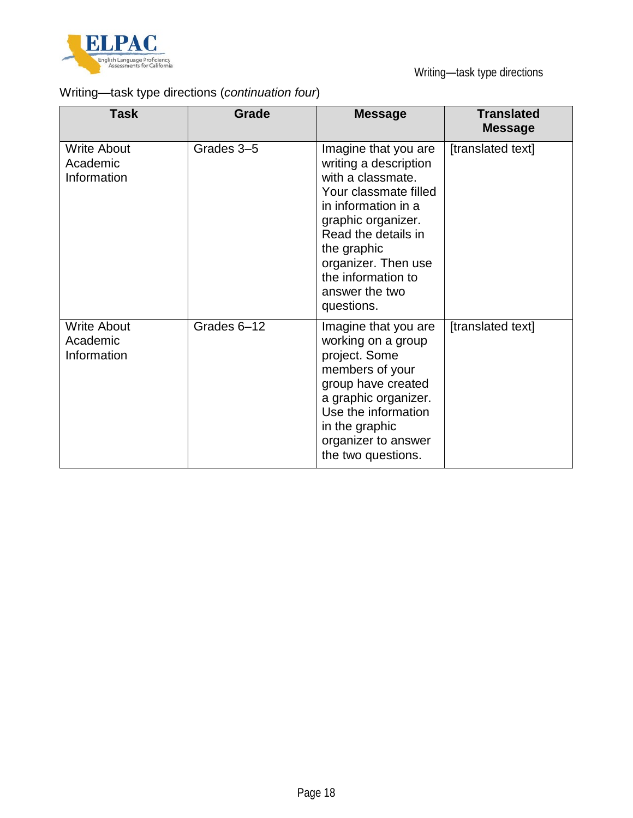

## Writing—task type directions (*continuation four*)

| <b>Task</b>                                   | Grade       | <b>Message</b>                                                                                                                                                                                                                                              | <b>Translated</b><br><b>Message</b> |
|-----------------------------------------------|-------------|-------------------------------------------------------------------------------------------------------------------------------------------------------------------------------------------------------------------------------------------------------------|-------------------------------------|
| <b>Write About</b><br>Academic<br>Information | Grades 3-5  | Imagine that you are<br>writing a description<br>with a classmate.<br>Your classmate filled<br>in information in a<br>graphic organizer.<br>Read the details in<br>the graphic<br>organizer. Then use<br>the information to<br>answer the two<br>questions. | [translated text]                   |
| <b>Write About</b><br>Academic<br>Information | Grades 6-12 | Imagine that you are<br>working on a group<br>project. Some<br>members of your<br>group have created<br>a graphic organizer.<br>Use the information<br>in the graphic<br>organizer to answer<br>the two questions.                                          | [translated text]                   |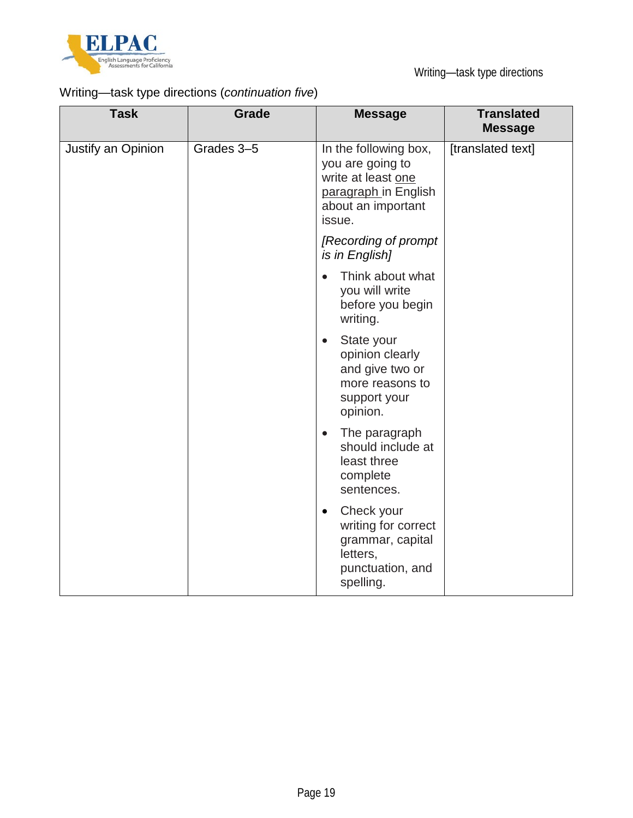

## Writing—task type directions (*continuation five*)

| <b>Task</b>        | Grade      | <b>Message</b>                                                                                                          | <b>Translated</b><br><b>Message</b> |
|--------------------|------------|-------------------------------------------------------------------------------------------------------------------------|-------------------------------------|
| Justify an Opinion | Grades 3-5 | In the following box,<br>you are going to<br>write at least one<br>paragraph in English<br>about an important<br>issue. | [translated text]                   |
|                    |            | [Recording of prompt<br>is in English]                                                                                  |                                     |
|                    |            | Think about what<br>$\bullet$<br>you will write<br>before you begin<br>writing.                                         |                                     |
|                    |            | State your<br>$\bullet$<br>opinion clearly<br>and give two or<br>more reasons to<br>support your<br>opinion.            |                                     |
|                    |            | The paragraph<br>$\bullet$<br>should include at<br>least three<br>complete<br>sentences.                                |                                     |
|                    |            | Check your<br>$\bullet$<br>writing for correct<br>grammar, capital<br>letters,<br>punctuation, and<br>spelling.         |                                     |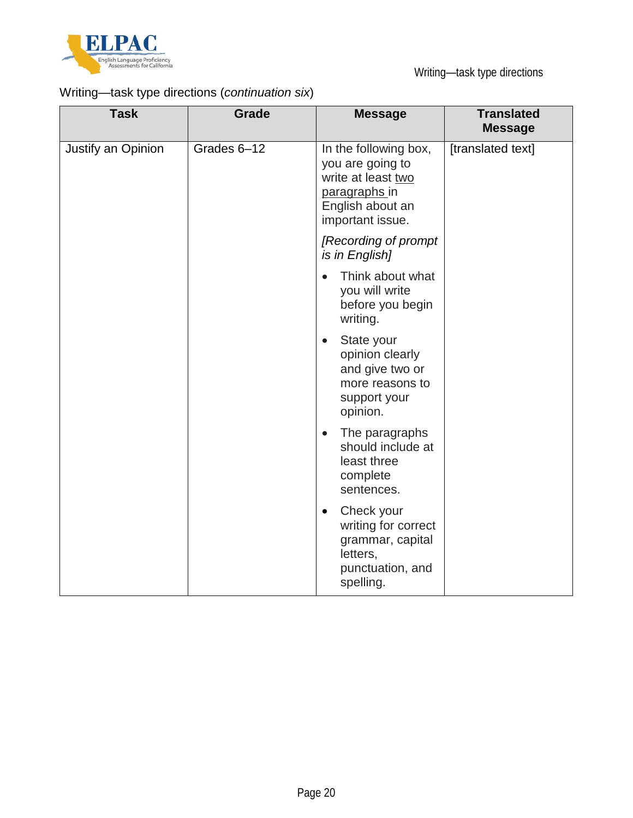

## Writing—task type directions (*continuation six*)

| <b>Task</b>        | Grade       | <b>Message</b>                                                                                                           | <b>Translated</b><br><b>Message</b> |
|--------------------|-------------|--------------------------------------------------------------------------------------------------------------------------|-------------------------------------|
| Justify an Opinion | Grades 6-12 | In the following box,<br>you are going to<br>write at least two<br>paragraphs in<br>English about an<br>important issue. | [translated text]                   |
|                    |             | [Recording of prompt]<br>is in English]                                                                                  |                                     |
|                    |             | Think about what<br>$\bullet$<br>you will write<br>before you begin<br>writing.                                          |                                     |
|                    |             | State your<br>$\bullet$<br>opinion clearly<br>and give two or<br>more reasons to<br>support your<br>opinion.             |                                     |
|                    |             | The paragraphs<br>$\bullet$<br>should include at<br>least three<br>complete<br>sentences.                                |                                     |
|                    |             | Check your<br>$\bullet$<br>writing for correct<br>grammar, capital<br>letters,<br>punctuation, and<br>spelling.          |                                     |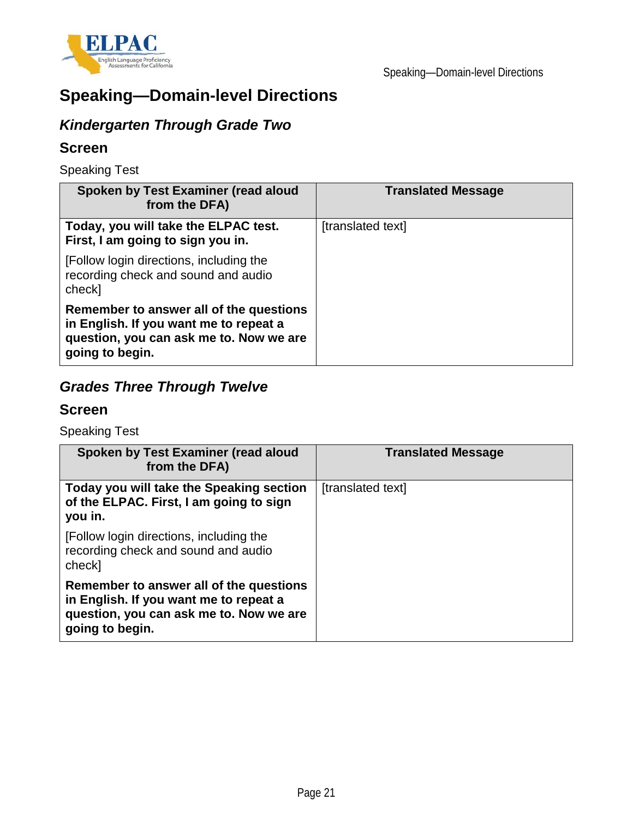

## **Speaking—Domain-level Directions**

## *Kindergarten Through Grade Two*

#### **Screen**

Speaking Test

| Spoken by Test Examiner (read aloud<br>from the DFA)                                                                                            | <b>Translated Message</b> |
|-------------------------------------------------------------------------------------------------------------------------------------------------|---------------------------|
| Today, you will take the ELPAC test.<br>First, I am going to sign you in.                                                                       | [translated text]         |
| [Follow login directions, including the<br>recording check and sound and audio<br>check]                                                        |                           |
| Remember to answer all of the questions<br>in English. If you want me to repeat a<br>question, you can ask me to. Now we are<br>going to begin. |                           |

## *Grades Three Through Twelve*

#### **Screen**

Speaking Test

| Spoken by Test Examiner (read aloud<br>from the DFA)                                                                                            | <b>Translated Message</b> |
|-------------------------------------------------------------------------------------------------------------------------------------------------|---------------------------|
| Today you will take the Speaking section<br>of the ELPAC. First, I am going to sign<br>you in.                                                  | [translated text]         |
| [Follow login directions, including the<br>recording check and sound and audio<br>check]                                                        |                           |
| Remember to answer all of the questions<br>in English. If you want me to repeat a<br>question, you can ask me to. Now we are<br>going to begin. |                           |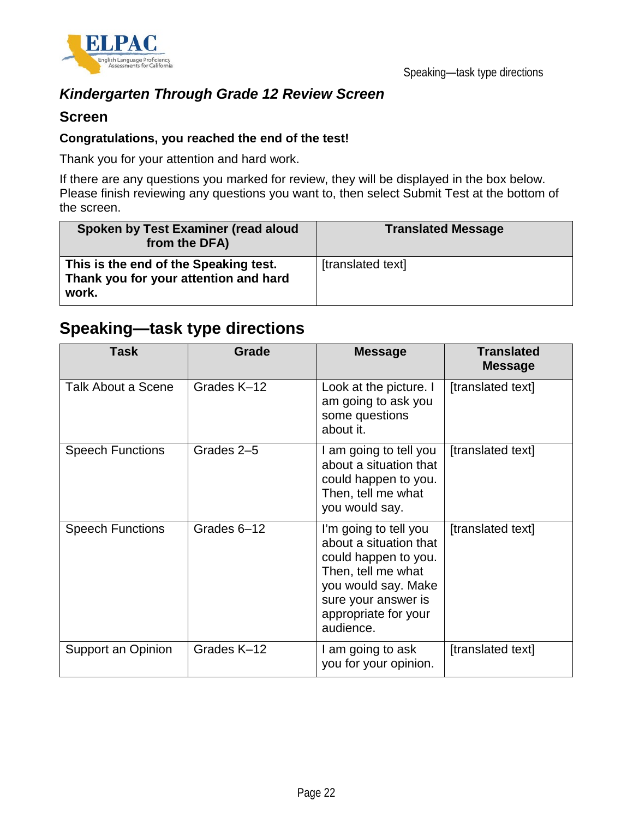

### *Kindergarten Through Grade 12 Review Screen*

#### **Screen**

#### **Congratulations, you reached the end of the test!**

Thank you for your attention and hard work.

If there are any questions you marked for review, they will be displayed in the box below. Please finish reviewing any questions you want to, then select Submit Test at the bottom of the screen.

| Spoken by Test Examiner (read aloud<br>from the DFA)                                    | <b>Translated Message</b> |
|-----------------------------------------------------------------------------------------|---------------------------|
| This is the end of the Speaking test.<br>Thank you for your attention and hard<br>work. | [translated text]         |

## **Speaking—task type directions**

| <b>Task</b>             | <b>Grade</b> | <b>Message</b>                                                                                                                                                                   | <b>Translated</b><br><b>Message</b> |
|-------------------------|--------------|----------------------------------------------------------------------------------------------------------------------------------------------------------------------------------|-------------------------------------|
| Talk About a Scene      | Grades K-12  | Look at the picture. I<br>am going to ask you<br>some questions<br>about it.                                                                                                     | [translated text]                   |
| <b>Speech Functions</b> | Grades 2-5   | I am going to tell you<br>about a situation that<br>could happen to you.<br>Then, tell me what<br>you would say.                                                                 | [translated text]                   |
| <b>Speech Functions</b> | Grades 6-12  | I'm going to tell you<br>about a situation that<br>could happen to you.<br>Then, tell me what<br>you would say. Make<br>sure your answer is<br>appropriate for your<br>audience. | [translated text]                   |
| Support an Opinion      | Grades K-12  | I am going to ask<br>you for your opinion.                                                                                                                                       | [translated text]                   |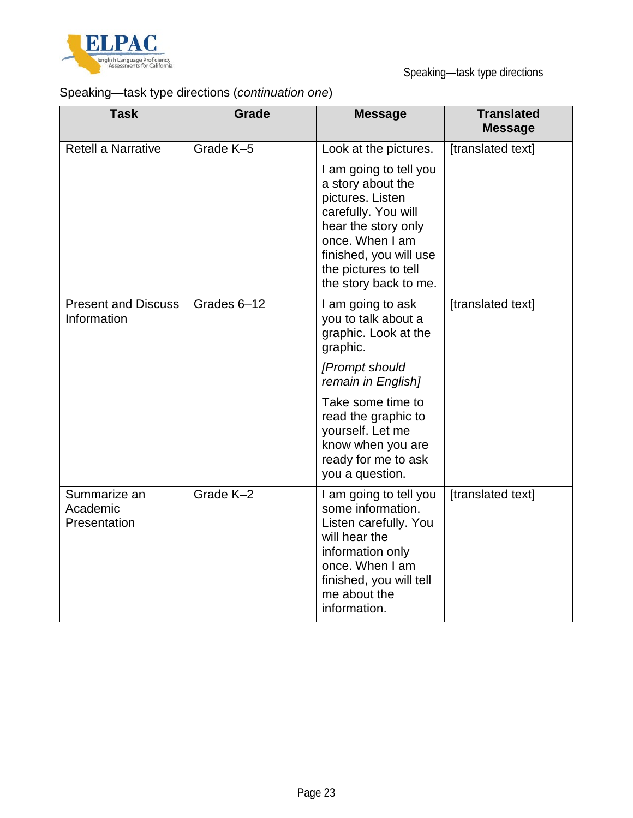

Speaking—task type directions

## Speaking—task type directions (*continuation one*)

| <b>Task</b>                               | <b>Grade</b> | <b>Message</b>                                                                                                                                                                                              | <b>Translated</b><br><b>Message</b> |
|-------------------------------------------|--------------|-------------------------------------------------------------------------------------------------------------------------------------------------------------------------------------------------------------|-------------------------------------|
| <b>Retell a Narrative</b>                 | Grade K-5    | Look at the pictures.                                                                                                                                                                                       | [translated text]                   |
|                                           |              | I am going to tell you<br>a story about the<br>pictures. Listen<br>carefully. You will<br>hear the story only<br>once. When I am<br>finished, you will use<br>the pictures to tell<br>the story back to me. |                                     |
| <b>Present and Discuss</b><br>Information | Grades 6-12  | I am going to ask<br>you to talk about a<br>graphic. Look at the<br>graphic.                                                                                                                                | [translated text]                   |
|                                           |              | [Prompt should<br>remain in English]                                                                                                                                                                        |                                     |
|                                           |              | Take some time to<br>read the graphic to<br>yourself. Let me<br>know when you are<br>ready for me to ask<br>you a question.                                                                                 |                                     |
| Summarize an<br>Academic<br>Presentation  | Grade K-2    | I am going to tell you<br>some information.<br>Listen carefully. You<br>will hear the<br>information only<br>once. When I am<br>finished, you will tell<br>me about the<br>information.                     | [translated text]                   |